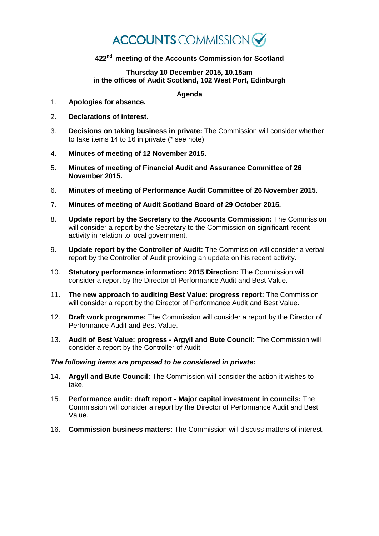# **ACCOUNTS** COMMISSION

## **422nd meeting of the Accounts Commission for Scotland**

#### **Thursday 10 December 2015, 10.15am in the offices of Audit Scotland, 102 West Port, Edinburgh**

### **Agenda**

- 1. **Apologies for absence.**
- 2. **Declarations of interest.**
- 3. **Decisions on taking business in private:** The Commission will consider whether to take items 14 to 16 in private (\* see note).
- 4. **Minutes of meeting of 12 November 2015.**
- 5. **Minutes of meeting of Financial Audit and Assurance Committee of 26 November 2015.**
- 6. **Minutes of meeting of Performance Audit Committee of 26 November 2015.**
- 7. **Minutes of meeting of Audit Scotland Board of 29 October 2015.**
- 8. **Update report by the Secretary to the Accounts Commission:** The Commission will consider a report by the Secretary to the Commission on significant recent activity in relation to local government.
- 9. **Update report by the Controller of Audit:** The Commission will consider a verbal report by the Controller of Audit providing an update on his recent activity.
- 10. **Statutory performance information: 2015 Direction:** The Commission will consider a report by the Director of Performance Audit and Best Value.
- 11. **The new approach to auditing Best Value: progress report:** The Commission will consider a report by the Director of Performance Audit and Best Value.
- 12. **Draft work programme:** The Commission will consider a report by the Director of Performance Audit and Best Value.
- 13. **Audit of Best Value: progress - Argyll and Bute Council:** The Commission will consider a report by the Controller of Audit.

#### *The following items are proposed to be considered in private:*

- 14. **Argyll and Bute Council:** The Commission will consider the action it wishes to take.
- 15. **Performance audit: draft report - Major capital investment in councils:** The Commission will consider a report by the Director of Performance Audit and Best Value.
- 16. **Commission business matters:** The Commission will discuss matters of interest.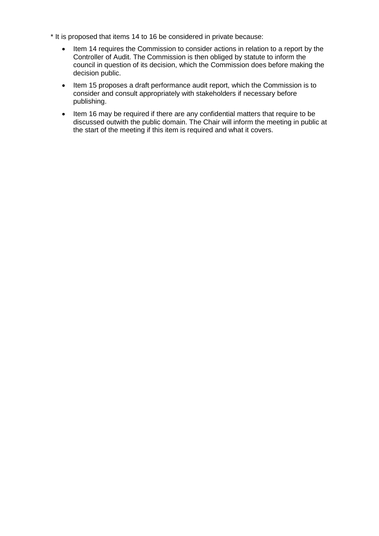- \* It is proposed that items 14 to 16 be considered in private because:
	- Item 14 requires the Commission to consider actions in relation to a report by the Controller of Audit. The Commission is then obliged by statute to inform the council in question of its decision, which the Commission does before making the decision public.
	- Item 15 proposes a draft performance audit report, which the Commission is to consider and consult appropriately with stakeholders if necessary before publishing.
	- Item 16 may be required if there are any confidential matters that require to be discussed outwith the public domain. The Chair will inform the meeting in public at the start of the meeting if this item is required and what it covers.